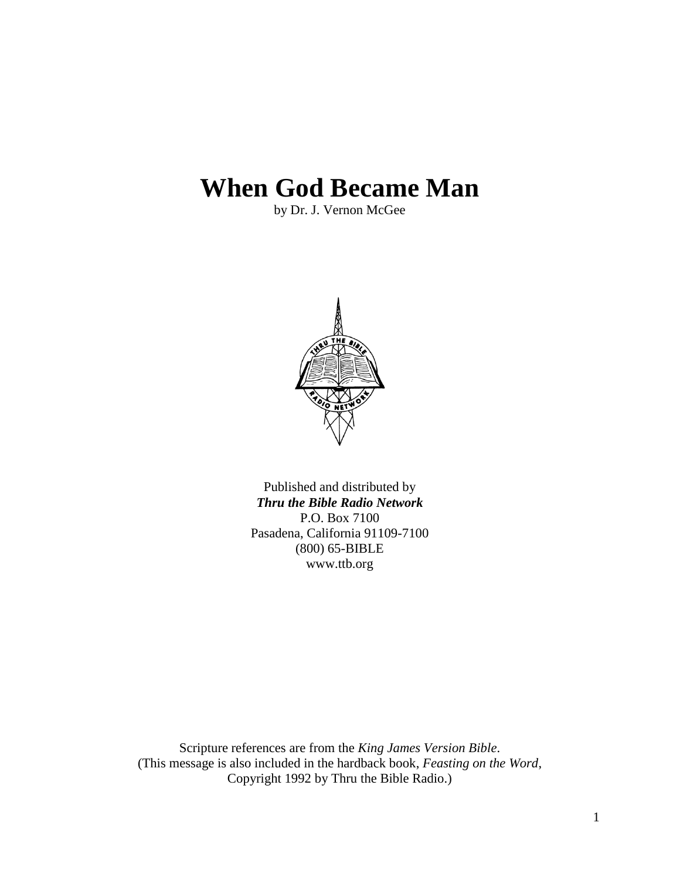# **When God Became Man**

by Dr. J. Vernon McGee



Published and distributed by *Thru the Bible Radio Network* P.O. Box 7100 Pasadena, California 91109-7100 (800) 65-BIBLE www.ttb.org

Scripture references are from the *King James Version Bible*. (This message is also included in the hardback book, *Feasting on the Word*, Copyright 1992 by Thru the Bible Radio.)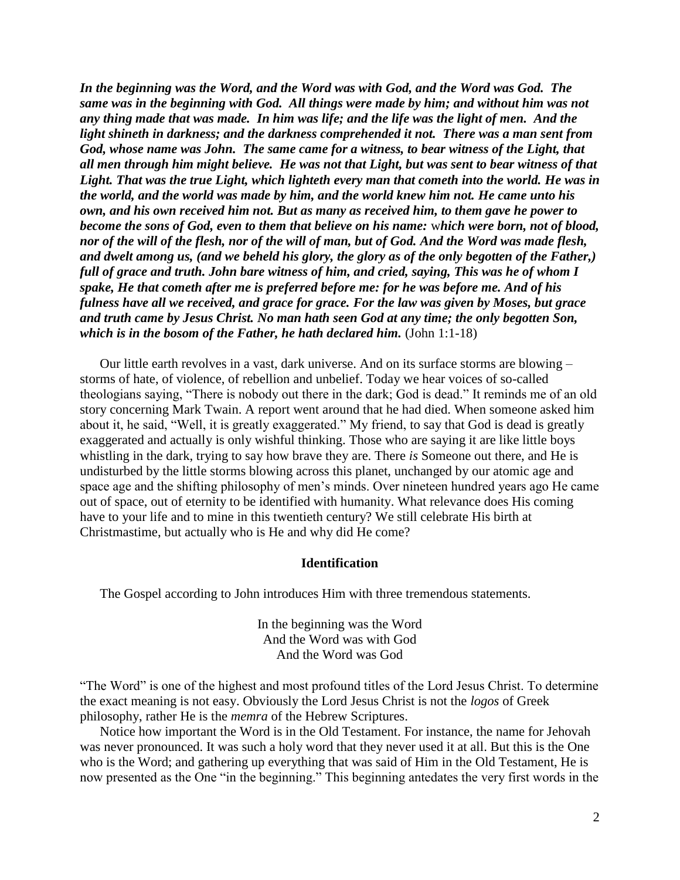*In the beginning was the Word, and the Word was with God, and the Word was God. The same was in the beginning with God. All things were made by him; and without him was not any thing made that was made. In him was life; and the life was the light of men. And the light shineth in darkness; and the darkness comprehended it not. There was a man sent from God, whose name was John. The same came for a witness, to bear witness of the Light, that all men through him might believe. He was not that Light, but was sent to bear witness of that Light. That was the true Light, which lighteth every man that cometh into the world. He was in the world, and the world was made by him, and the world knew him not. He came unto his own, and his own received him not. But as many as received him, to them gave he power to become the sons of God, even to them that believe on his name:* w*hich were born, not of blood, nor of the will of the flesh, nor of the will of man, but of God. And the Word was made flesh, and dwelt among us, (and we beheld his glory, the glory as of the only begotten of the Father,) full of grace and truth. John bare witness of him, and cried, saying, This was he of whom I spake, He that cometh after me is preferred before me: for he was before me. And of his fulness have all we received, and grace for grace. For the law was given by Moses, but grace and truth came by Jesus Christ. No man hath seen God at any time; the only begotten Son, which is in the bosom of the Father, he hath declared him.* (John 1:1-18)

Our little earth revolves in a vast, dark universe. And on its surface storms are blowing – storms of hate, of violence, of rebellion and unbelief. Today we hear voices of so-called theologians saying, "There is nobody out there in the dark; God is dead." It reminds me of an old story concerning Mark Twain. A report went around that he had died. When someone asked him about it, he said, "Well, it is greatly exaggerated." My friend, to say that God is dead is greatly exaggerated and actually is only wishful thinking. Those who are saying it are like little boys whistling in the dark, trying to say how brave they are. There *is* Someone out there, and He is undisturbed by the little storms blowing across this planet, unchanged by our atomic age and space age and the shifting philosophy of men's minds. Over nineteen hundred years ago He came out of space, out of eternity to be identified with humanity. What relevance does His coming have to your life and to mine in this twentieth century? We still celebrate His birth at Christmastime, but actually who is He and why did He come?

#### **Identification**

The Gospel according to John introduces Him with three tremendous statements.

In the beginning was the Word And the Word was with God And the Word was God

"The Word" is one of the highest and most profound titles of the Lord Jesus Christ. To determine the exact meaning is not easy. Obviously the Lord Jesus Christ is not the *logos* of Greek philosophy, rather He is the *memra* of the Hebrew Scriptures.

Notice how important the Word is in the Old Testament. For instance, the name for Jehovah was never pronounced. It was such a holy word that they never used it at all. But this is the One who is the Word; and gathering up everything that was said of Him in the Old Testament, He is now presented as the One "in the beginning." This beginning antedates the very first words in the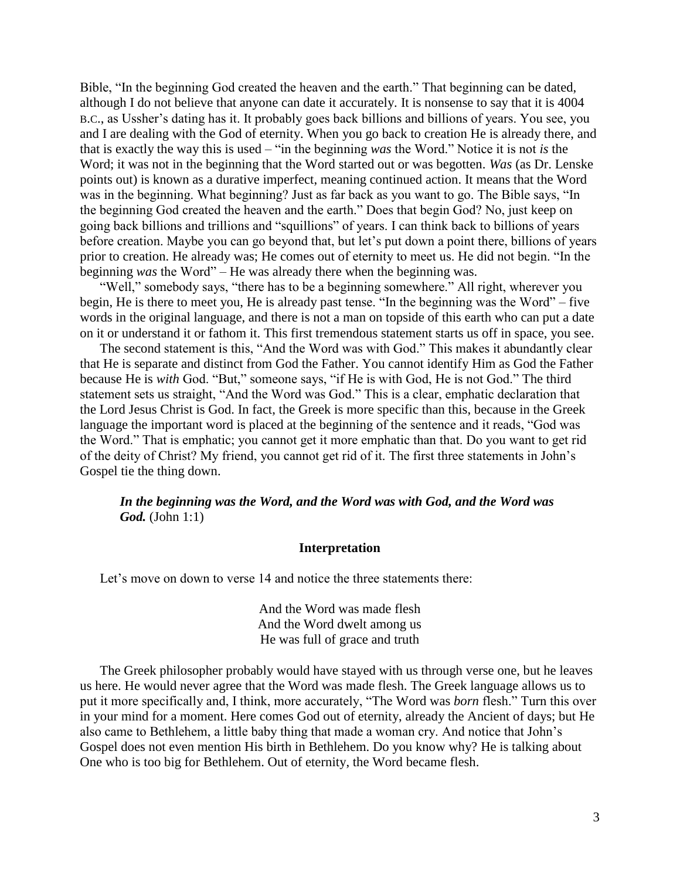Bible, "In the beginning God created the heaven and the earth." That beginning can be dated, although I do not believe that anyone can date it accurately. It is nonsense to say that it is 4004 B.C., as Ussher's dating has it. It probably goes back billions and billions of years. You see, you and I are dealing with the God of eternity. When you go back to creation He is already there, and that is exactly the way this is used – "in the beginning *was* the Word." Notice it is not *is* the Word; it was not in the beginning that the Word started out or was begotten. *Was* (as Dr. Lenske points out) is known as a durative imperfect, meaning continued action. It means that the Word was in the beginning. What beginning? Just as far back as you want to go. The Bible says, "In the beginning God created the heaven and the earth." Does that begin God? No, just keep on going back billions and trillions and "squillions" of years. I can think back to billions of years before creation. Maybe you can go beyond that, but let's put down a point there, billions of years prior to creation. He already was; He comes out of eternity to meet us. He did not begin. "In the beginning *was* the Word" – He was already there when the beginning was.

"Well," somebody says, "there has to be a beginning somewhere." All right, wherever you begin, He is there to meet you, He is already past tense. "In the beginning was the Word" – five words in the original language, and there is not a man on topside of this earth who can put a date on it or understand it or fathom it. This first tremendous statement starts us off in space, you see.

The second statement is this, "And the Word was with God." This makes it abundantly clear that He is separate and distinct from God the Father. You cannot identify Him as God the Father because He is *with* God. "But," someone says, "if He is with God, He is not God." The third statement sets us straight, "And the Word was God." This is a clear, emphatic declaration that the Lord Jesus Christ is God. In fact, the Greek is more specific than this, because in the Greek language the important word is placed at the beginning of the sentence and it reads, "God was the Word." That is emphatic; you cannot get it more emphatic than that. Do you want to get rid of the deity of Christ? My friend, you cannot get rid of it. The first three statements in John's Gospel tie the thing down.

## *In the beginning was the Word, and the Word was with God, and the Word was God.* (John 1:1)

## **Interpretation**

Let's move on down to verse 14 and notice the three statements there:

And the Word was made flesh And the Word dwelt among us He was full of grace and truth

The Greek philosopher probably would have stayed with us through verse one, but he leaves us here. He would never agree that the Word was made flesh. The Greek language allows us to put it more specifically and, I think, more accurately, "The Word was *born* flesh." Turn this over in your mind for a moment. Here comes God out of eternity, already the Ancient of days; but He also came to Bethlehem, a little baby thing that made a woman cry. And notice that John's Gospel does not even mention His birth in Bethlehem. Do you know why? He is talking about One who is too big for Bethlehem. Out of eternity, the Word became flesh.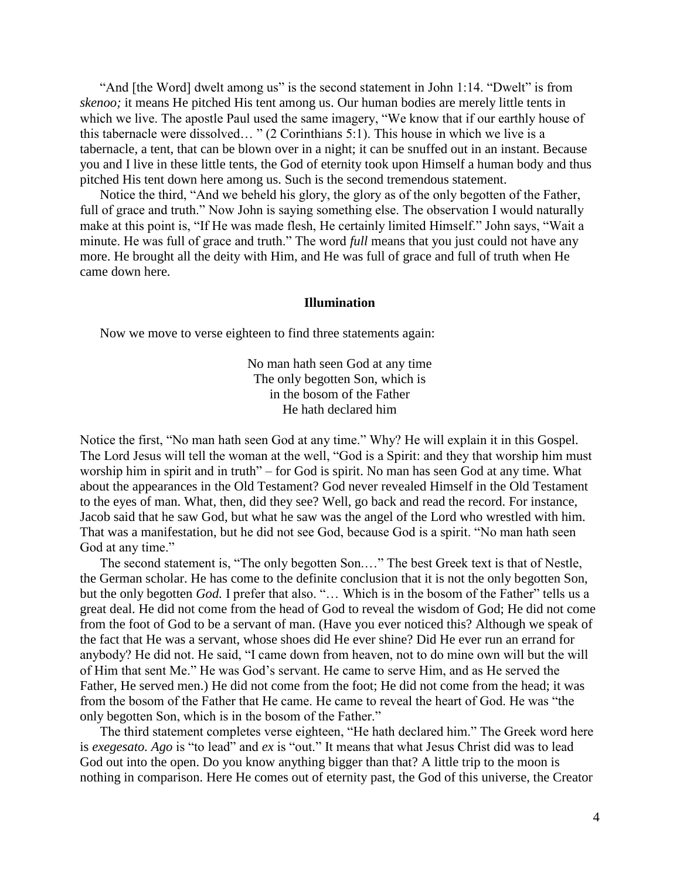"And [the Word] dwelt among us" is the second statement in John 1:14. "Dwelt" is from *skenoo;* it means He pitched His tent among us. Our human bodies are merely little tents in which we live. The apostle Paul used the same imagery, "We know that if our earthly house of this tabernacle were dissolved… " (2 Corinthians 5:1). This house in which we live is a tabernacle, a tent, that can be blown over in a night; it can be snuffed out in an instant. Because you and I live in these little tents, the God of eternity took upon Himself a human body and thus pitched His tent down here among us. Such is the second tremendous statement.

Notice the third, "And we beheld his glory, the glory as of the only begotten of the Father, full of grace and truth." Now John is saying something else. The observation I would naturally make at this point is, "If He was made flesh, He certainly limited Himself." John says, "Wait a minute. He was full of grace and truth." The word *full* means that you just could not have any more. He brought all the deity with Him, and He was full of grace and full of truth when He came down here.

#### **Illumination**

Now we move to verse eighteen to find three statements again:

No man hath seen God at any time The only begotten Son, which is in the bosom of the Father He hath declared him

Notice the first, "No man hath seen God at any time." Why? He will explain it in this Gospel. The Lord Jesus will tell the woman at the well, "God is a Spirit: and they that worship him must worship him in spirit and in truth" – for God is spirit. No man has seen God at any time. What about the appearances in the Old Testament? God never revealed Himself in the Old Testament to the eyes of man. What, then, did they see? Well, go back and read the record. For instance, Jacob said that he saw God, but what he saw was the angel of the Lord who wrestled with him. That was a manifestation, but he did not see God, because God is a spirit. "No man hath seen God at any time."

The second statement is, "The only begotten Son.…" The best Greek text is that of Nestle, the German scholar. He has come to the definite conclusion that it is not the only begotten Son, but the only begotten *God*. I prefer that also. "... Which is in the bosom of the Father" tells us a great deal. He did not come from the head of God to reveal the wisdom of God; He did not come from the foot of God to be a servant of man. (Have you ever noticed this? Although we speak of the fact that He was a servant, whose shoes did He ever shine? Did He ever run an errand for anybody? He did not. He said, "I came down from heaven, not to do mine own will but the will of Him that sent Me." He was God's servant. He came to serve Him, and as He served the Father, He served men.) He did not come from the foot; He did not come from the head; it was from the bosom of the Father that He came. He came to reveal the heart of God. He was "the only begotten Son, which is in the bosom of the Father."

The third statement completes verse eighteen, "He hath declared him." The Greek word here is *exegesato. Ago* is "to lead" and *ex* is "out." It means that what Jesus Christ did was to lead God out into the open. Do you know anything bigger than that? A little trip to the moon is nothing in comparison. Here He comes out of eternity past, the God of this universe, the Creator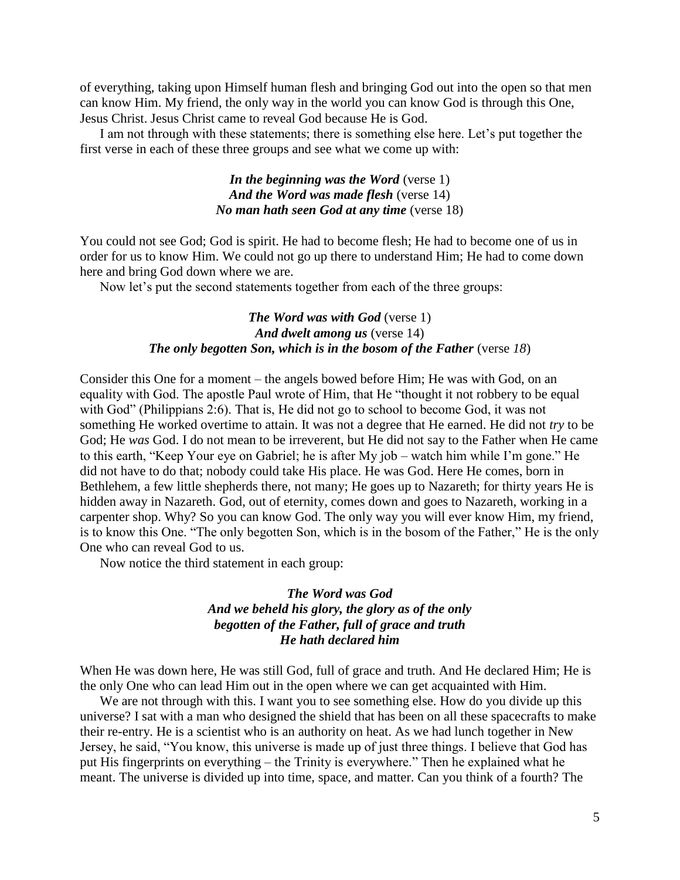of everything, taking upon Himself human flesh and bringing God out into the open so that men can know Him. My friend, the only way in the world you can know God is through this One, Jesus Christ. Jesus Christ came to reveal God because He is God.

I am not through with these statements; there is something else here. Let's put together the first verse in each of these three groups and see what we come up with:

> *In the beginning was the Word* (verse 1) *And the Word was made flesh* (verse 14) *No man hath seen God at any time* (verse 18)

You could not see God; God is spirit. He had to become flesh; He had to become one of us in order for us to know Him. We could not go up there to understand Him; He had to come down here and bring God down where we are.

Now let's put the second statements together from each of the three groups:

## *The Word was with God (verse 1) And dwelt among us* (verse 14) *The only begotten Son, which is in the bosom of the Father (verse 18)*

Consider this One for a moment – the angels bowed before Him; He was with God, on an equality with God. The apostle Paul wrote of Him, that He "thought it not robbery to be equal with God" (Philippians 2:6). That is, He did not go to school to become God, it was not something He worked overtime to attain. It was not a degree that He earned. He did not *try* to be God; He *was* God. I do not mean to be irreverent, but He did not say to the Father when He came to this earth, "Keep Your eye on Gabriel; he is after My job – watch him while I'm gone." He did not have to do that; nobody could take His place. He was God. Here He comes, born in Bethlehem, a few little shepherds there, not many; He goes up to Nazareth; for thirty years He is hidden away in Nazareth. God, out of eternity, comes down and goes to Nazareth, working in a carpenter shop. Why? So you can know God. The only way you will ever know Him, my friend, is to know this One. "The only begotten Son, which is in the bosom of the Father," He is the only One who can reveal God to us.

Now notice the third statement in each group:

# *The Word was God And we beheld his glory, the glory as of the only begotten of the Father, full of grace and truth He hath declared him*

When He was down here, He was still God, full of grace and truth. And He declared Him; He is the only One who can lead Him out in the open where we can get acquainted with Him.

We are not through with this. I want you to see something else. How do you divide up this universe? I sat with a man who designed the shield that has been on all these spacecrafts to make their re-entry. He is a scientist who is an authority on heat. As we had lunch together in New Jersey, he said, "You know, this universe is made up of just three things. I believe that God has put His fingerprints on everything – the Trinity is everywhere." Then he explained what he meant. The universe is divided up into time, space, and matter. Can you think of a fourth? The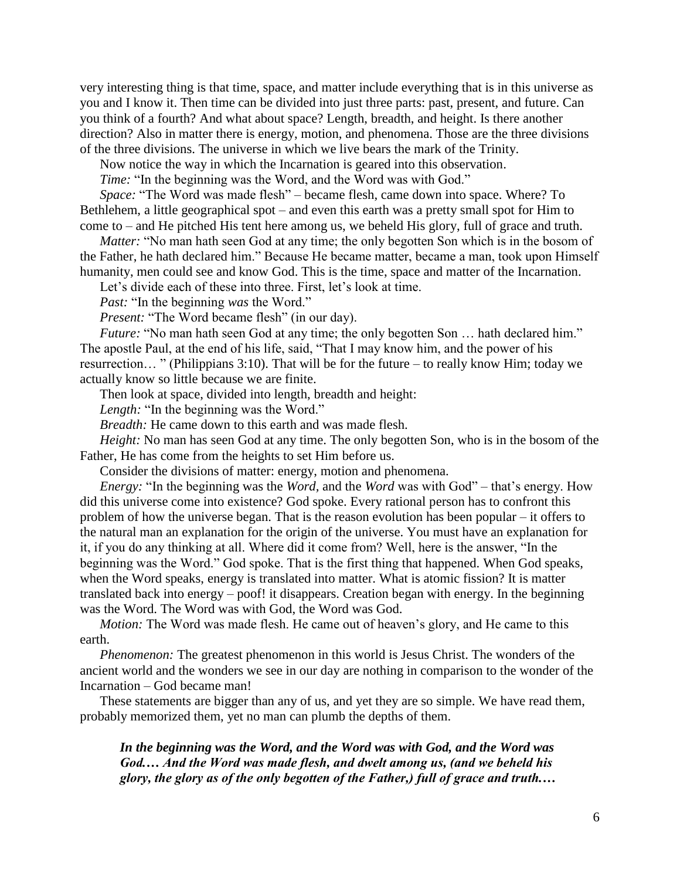very interesting thing is that time, space, and matter include everything that is in this universe as you and I know it. Then time can be divided into just three parts: past, present, and future. Can you think of a fourth? And what about space? Length, breadth, and height. Is there another direction? Also in matter there is energy, motion, and phenomena. Those are the three divisions of the three divisions. The universe in which we live bears the mark of the Trinity.

Now notice the way in which the Incarnation is geared into this observation.

*Time:* "In the beginning was the Word, and the Word was with God."

*Space:* "The Word was made flesh" – became flesh, came down into space. Where? To Bethlehem, a little geographical spot – and even this earth was a pretty small spot for Him to come to – and He pitched His tent here among us, we beheld His glory, full of grace and truth.

*Matter:* "No man hath seen God at any time; the only begotten Son which is in the bosom of the Father, he hath declared him." Because He became matter, became a man, took upon Himself humanity, men could see and know God. This is the time, space and matter of the Incarnation.

Let's divide each of these into three. First, let's look at time.

*Past:* "In the beginning *was* the Word."

*Present:* "The Word became flesh" (in our day).

*Future:* "No man hath seen God at any time; the only begotten Son ... hath declared him." The apostle Paul, at the end of his life, said, "That I may know him, and the power of his resurrection… " (Philippians 3:10). That will be for the future – to really know Him; today we actually know so little because we are finite.

Then look at space, divided into length, breadth and height:

*Length:* "In the beginning was the Word."

*Breadth:* He came down to this earth and was made flesh.

*Height:* No man has seen God at any time. The only begotten Son, who is in the bosom of the Father, He has come from the heights to set Him before us.

Consider the divisions of matter: energy, motion and phenomena.

*Energy:* "In the beginning was the *Word,* and the *Word* was with God" – that's energy. How did this universe come into existence? God spoke. Every rational person has to confront this problem of how the universe began. That is the reason evolution has been popular – it offers to the natural man an explanation for the origin of the universe. You must have an explanation for it, if you do any thinking at all. Where did it come from? Well, here is the answer, "In the beginning was the Word." God spoke. That is the first thing that happened. When God speaks, when the Word speaks, energy is translated into matter. What is atomic fission? It is matter translated back into energy – poof! it disappears. Creation began with energy. In the beginning was the Word. The Word was with God, the Word was God.

*Motion:* The Word was made flesh. He came out of heaven's glory, and He came to this earth.

*Phenomenon:* The greatest phenomenon in this world is Jesus Christ. The wonders of the ancient world and the wonders we see in our day are nothing in comparison to the wonder of the Incarnation – God became man!

These statements are bigger than any of us, and yet they are so simple. We have read them, probably memorized them, yet no man can plumb the depths of them.

*In the beginning was the Word, and the Word was with God, and the Word was God.… And the Word was made flesh, and dwelt among us, (and we beheld his glory, the glory as of the only begotten of the Father,) full of grace and truth.…*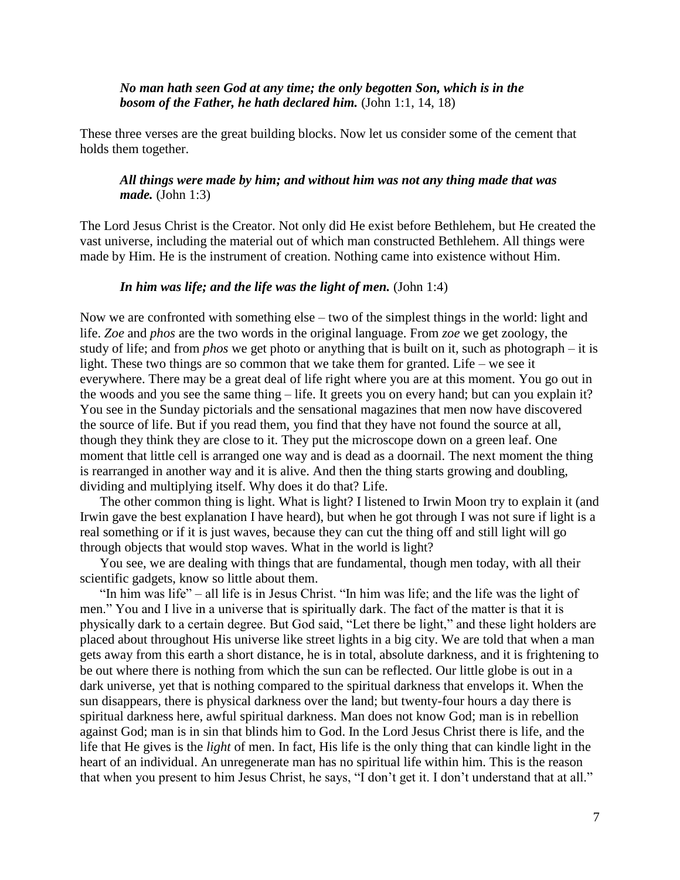## *No man hath seen God at any time; the only begotten Son, which is in the bosom of the Father, he hath declared him.* (John 1:1, 14, 18)

These three verses are the great building blocks. Now let us consider some of the cement that holds them together.

# *All things were made by him; and without him was not any thing made that was made.* (John 1:3)

The Lord Jesus Christ is the Creator. Not only did He exist before Bethlehem, but He created the vast universe, including the material out of which man constructed Bethlehem. All things were made by Him. He is the instrument of creation. Nothing came into existence without Him.

## *In him was life; and the life was the light of men.* (John 1:4)

Now we are confronted with something else – two of the simplest things in the world: light and life. *Zoe* and *phos* are the two words in the original language. From *zoe* we get zoology, the study of life; and from *phos* we get photo or anything that is built on it, such as photograph – it is light. These two things are so common that we take them for granted. Life – we see it everywhere. There may be a great deal of life right where you are at this moment. You go out in the woods and you see the same thing – life. It greets you on every hand; but can you explain it? You see in the Sunday pictorials and the sensational magazines that men now have discovered the source of life. But if you read them, you find that they have not found the source at all, though they think they are close to it. They put the microscope down on a green leaf. One moment that little cell is arranged one way and is dead as a doornail. The next moment the thing is rearranged in another way and it is alive. And then the thing starts growing and doubling, dividing and multiplying itself. Why does it do that? Life.

The other common thing is light. What is light? I listened to Irwin Moon try to explain it (and Irwin gave the best explanation I have heard), but when he got through I was not sure if light is a real something or if it is just waves, because they can cut the thing off and still light will go through objects that would stop waves. What in the world is light?

You see, we are dealing with things that are fundamental, though men today, with all their scientific gadgets, know so little about them.

"In him was life" – all life is in Jesus Christ. "In him was life; and the life was the light of men." You and I live in a universe that is spiritually dark. The fact of the matter is that it is physically dark to a certain degree. But God said, "Let there be light," and these light holders are placed about throughout His universe like street lights in a big city. We are told that when a man gets away from this earth a short distance, he is in total, absolute darkness, and it is frightening to be out where there is nothing from which the sun can be reflected. Our little globe is out in a dark universe, yet that is nothing compared to the spiritual darkness that envelops it. When the sun disappears, there is physical darkness over the land; but twenty-four hours a day there is spiritual darkness here, awful spiritual darkness. Man does not know God; man is in rebellion against God; man is in sin that blinds him to God. In the Lord Jesus Christ there is life, and the life that He gives is the *light* of men. In fact, His life is the only thing that can kindle light in the heart of an individual. An unregenerate man has no spiritual life within him. This is the reason that when you present to him Jesus Christ, he says, "I don't get it. I don't understand that at all."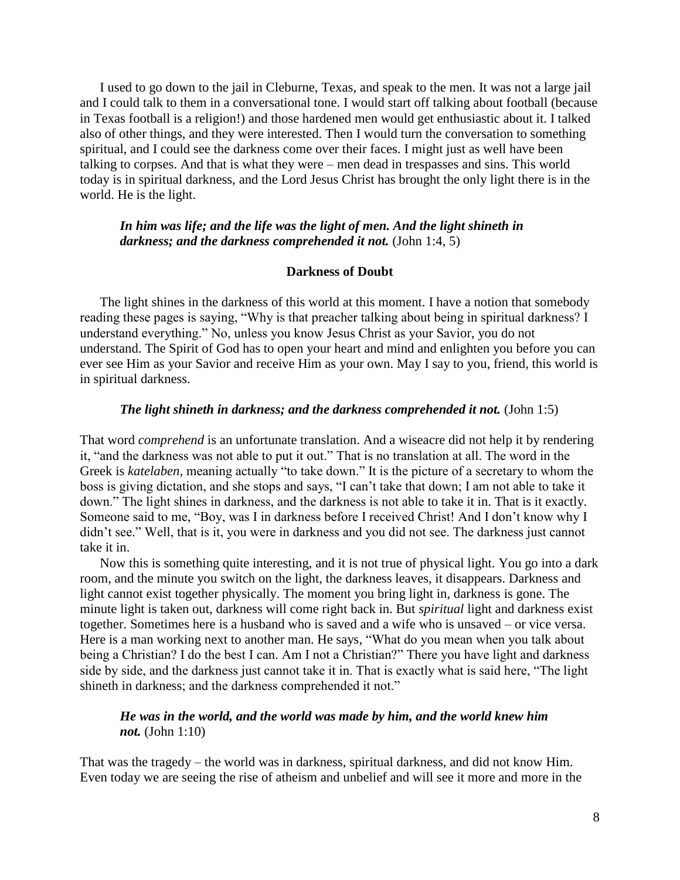I used to go down to the jail in Cleburne, Texas, and speak to the men. It was not a large jail and I could talk to them in a conversational tone. I would start off talking about football (because in Texas football is a religion!) and those hardened men would get enthusiastic about it. I talked also of other things, and they were interested. Then I would turn the conversation to something spiritual, and I could see the darkness come over their faces. I might just as well have been talking to corpses. And that is what they were – men dead in trespasses and sins. This world today is in spiritual darkness, and the Lord Jesus Christ has brought the only light there is in the world. He is the light.

# *In him was life; and the life was the light of men. And the light shineth in darkness; and the darkness comprehended it not.* (John 1:4, 5)

# **Darkness of Doubt**

The light shines in the darkness of this world at this moment. I have a notion that somebody reading these pages is saying, "Why is that preacher talking about being in spiritual darkness? I understand everything." No, unless you know Jesus Christ as your Savior, you do not understand. The Spirit of God has to open your heart and mind and enlighten you before you can ever see Him as your Savior and receive Him as your own. May I say to you, friend, this world is in spiritual darkness.

#### *The light shineth in darkness; and the darkness comprehended it not.* (John 1:5)

That word *comprehend* is an unfortunate translation. And a wiseacre did not help it by rendering it, "and the darkness was not able to put it out." That is no translation at all. The word in the Greek is *katelaben,* meaning actually "to take down." It is the picture of a secretary to whom the boss is giving dictation, and she stops and says, "I can't take that down; I am not able to take it down." The light shines in darkness, and the darkness is not able to take it in. That is it exactly. Someone said to me, "Boy, was I in darkness before I received Christ! And I don't know why I didn't see." Well, that is it, you were in darkness and you did not see. The darkness just cannot take it in.

Now this is something quite interesting, and it is not true of physical light. You go into a dark room, and the minute you switch on the light, the darkness leaves, it disappears. Darkness and light cannot exist together physically. The moment you bring light in, darkness is gone. The minute light is taken out, darkness will come right back in. But *spiritual* light and darkness exist together. Sometimes here is a husband who is saved and a wife who is unsaved – or vice versa. Here is a man working next to another man. He says, "What do you mean when you talk about being a Christian? I do the best I can. Am I not a Christian?" There you have light and darkness side by side, and the darkness just cannot take it in. That is exactly what is said here, "The light shineth in darkness; and the darkness comprehended it not."

# *He was in the world, and the world was made by him, and the world knew him not.* (John 1:10)

That was the tragedy – the world was in darkness, spiritual darkness, and did not know Him. Even today we are seeing the rise of atheism and unbelief and will see it more and more in the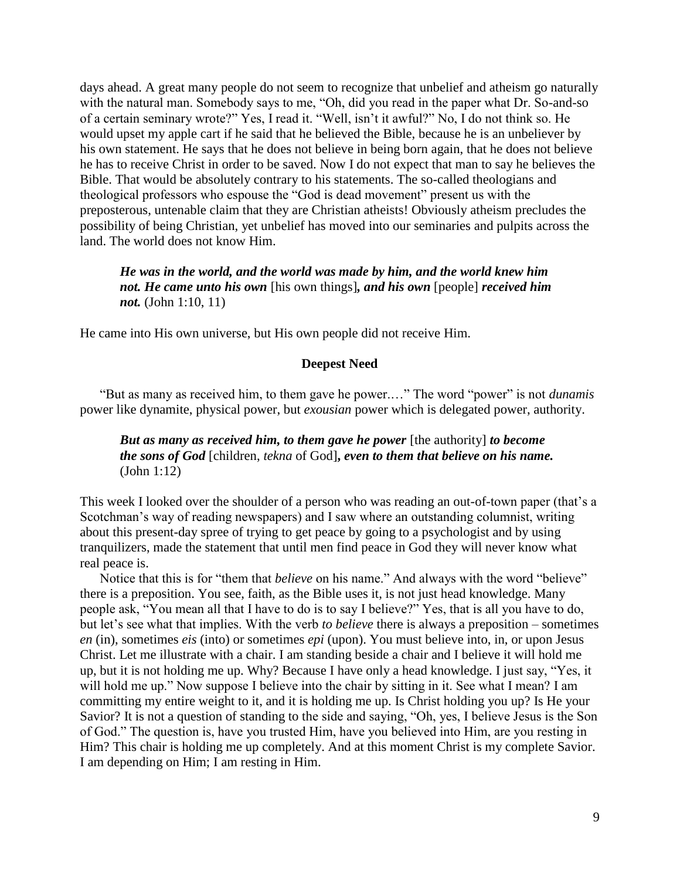days ahead. A great many people do not seem to recognize that unbelief and atheism go naturally with the natural man. Somebody says to me, "Oh, did you read in the paper what Dr. So-and-so of a certain seminary wrote?" Yes, I read it. "Well, isn't it awful?" No, I do not think so. He would upset my apple cart if he said that he believed the Bible, because he is an unbeliever by his own statement. He says that he does not believe in being born again, that he does not believe he has to receive Christ in order to be saved. Now I do not expect that man to say he believes the Bible. That would be absolutely contrary to his statements. The so-called theologians and theological professors who espouse the "God is dead movement" present us with the preposterous, untenable claim that they are Christian atheists! Obviously atheism precludes the possibility of being Christian, yet unbelief has moved into our seminaries and pulpits across the land. The world does not know Him.

# *He was in the world, and the world was made by him, and the world knew him not. He came unto his own* [his own things]*, and his own* [people] *received him not.* (John 1:10, 11)

He came into His own universe, but His own people did not receive Him.

## **Deepest Need**

"But as many as received him, to them gave he power.…" The word "power" is not *dunamis* power like dynamite, physical power, but *exousian* power which is delegated power, authority.

# *But as many as received him, to them gave he power* [the authority] *to become the sons of God* [children, *tekna* of God]**,** *even to them that believe on his name.* (John 1:12)

This week I looked over the shoulder of a person who was reading an out-of-town paper (that's a Scotchman's way of reading newspapers) and I saw where an outstanding columnist, writing about this present-day spree of trying to get peace by going to a psychologist and by using tranquilizers, made the statement that until men find peace in God they will never know what real peace is.

Notice that this is for "them that *believe* on his name." And always with the word "believe" there is a preposition. You see, faith, as the Bible uses it, is not just head knowledge. Many people ask, "You mean all that I have to do is to say I believe?" Yes, that is all you have to do, but let's see what that implies. With the verb *to believe* there is always a preposition – sometimes *en* (in), sometimes *eis* (into) or sometimes *epi* (upon). You must believe into, in, or upon Jesus Christ. Let me illustrate with a chair. I am standing beside a chair and I believe it will hold me up, but it is not holding me up. Why? Because I have only a head knowledge. I just say, "Yes, it will hold me up." Now suppose I believe into the chair by sitting in it. See what I mean? I am committing my entire weight to it, and it is holding me up. Is Christ holding you up? Is He your Savior? It is not a question of standing to the side and saying, "Oh, yes, I believe Jesus is the Son of God." The question is, have you trusted Him, have you believed into Him, are you resting in Him? This chair is holding me up completely. And at this moment Christ is my complete Savior. I am depending on Him; I am resting in Him.